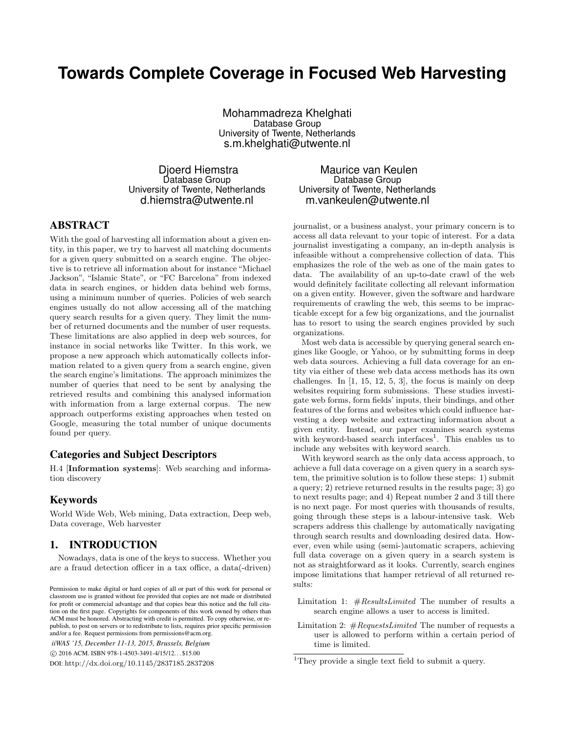# **Towards Complete Coverage in Focused Web Harvesting**

Mohammadreza Khelghati Database Group University of Twente, Netherlands s.m.khelghati@utwente.nl

Djoerd Hiemstra Database Group University of Twente, Netherlands d.hiemstra@utwente.nl

ABSTRACT

With the goal of harvesting all information about a given entity, in this paper, we try to harvest all matching documents for a given query submitted on a search engine. The objective is to retrieve all information about for instance "Michael Jackson", "Islamic State", or "FC Barcelona" from indexed data in search engines, or hidden data behind web forms, using a minimum number of queries. Policies of web search engines usually do not allow accessing all of the matching query search results for a given query. They limit the number of returned documents and the number of user requests. These limitations are also applied in deep web sources, for instance in social networks like Twitter. In this work, we propose a new approach which automatically collects information related to a given query from a search engine, given the search engine's limitations. The approach minimizes the number of queries that need to be sent by analysing the retrieved results and combining this analysed information with information from a large external corpus. The new approach outperforms existing approaches when tested on Google, measuring the total number of unique documents found per query.

# Categories and Subject Descriptors

H.4 [Information systems]: Web searching and information discovery

# Keywords

World Wide Web, Web mining, Data extraction, Deep web, Data coverage, Web harvester

# 1. INTRODUCTION

Nowadays, data is one of the keys to success. Whether you are a fraud detection officer in a tax office, a data(-driven)

*iiWAS '15, December 11-13, 2015, Brussels, Belgium* c 2016 ACM. ISBN 978-1-4503-3491-4/15/12. . . \$15.00 DOI: http://dx.doi.org/10.1145/2837185.2837208

## Maurice van Keulen Database Group University of Twente, Netherlands m.vankeulen@utwente.nl

journalist, or a business analyst, your primary concern is to access all data relevant to your topic of interest. For a data journalist investigating a company, an in-depth analysis is infeasible without a comprehensive collection of data. This emphasizes the role of the web as one of the main gates to data. The availability of an up-to-date crawl of the web would definitely facilitate collecting all relevant information on a given entity. However, given the software and hardware requirements of crawling the web, this seems to be impracticable except for a few big organizations, and the journalist has to resort to using the search engines provided by such organizations.

Most web data is accessible by querying general search engines like Google, or Yahoo, or by submitting forms in deep web data sources. Achieving a full data coverage for an entity via either of these web data access methods has its own challenges. In [1, 15, 12, 5, 3], the focus is mainly on deep websites requiring form submissions. These studies investigate web forms, form fields' inputs, their bindings, and other features of the forms and websites which could influence harvesting a deep website and extracting information about a given entity. Instead, our paper examines search systems with keyword-based search interfaces<sup>1</sup>. This enables us to include any websites with keyword search.

With keyword search as the only data access approach, to achieve a full data coverage on a given query in a search system, the primitive solution is to follow these steps: 1) submit a query; 2) retrieve returned results in the results page; 3) go to next results page; and 4) Repeat number 2 and 3 till there is no next page. For most queries with thousands of results, going through these steps is a labour-intensive task. Web scrapers address this challenge by automatically navigating through search results and downloading desired data. However, even while using (semi-)automatic scrapers, achieving full data coverage on a given query in a search system is not as straightforward as it looks. Currently, search engines impose limitations that hamper retrieval of all returned results:

Limitation 1:  $#Results Limited$  The number of results a search engine allows a user to access is limited.

Limitation 2:  $\#Requests Limited$  The number of requests a user is allowed to perform within a certain period of time is limited.

Permission to make digital or hard copies of all or part of this work for personal or classroom use is granted without fee provided that copies are not made or distributed for profit or commercial advantage and that copies bear this notice and the full citation on the first page. Copyrights for components of this work owned by others than ACM must be honored. Abstracting with credit is permitted. To copy otherwise, or republish, to post on servers or to redistribute to lists, requires prior specific permission and/or a fee. Request permissions from permissions@acm.org.

<sup>&</sup>lt;sup>1</sup>They provide a single text field to submit a query.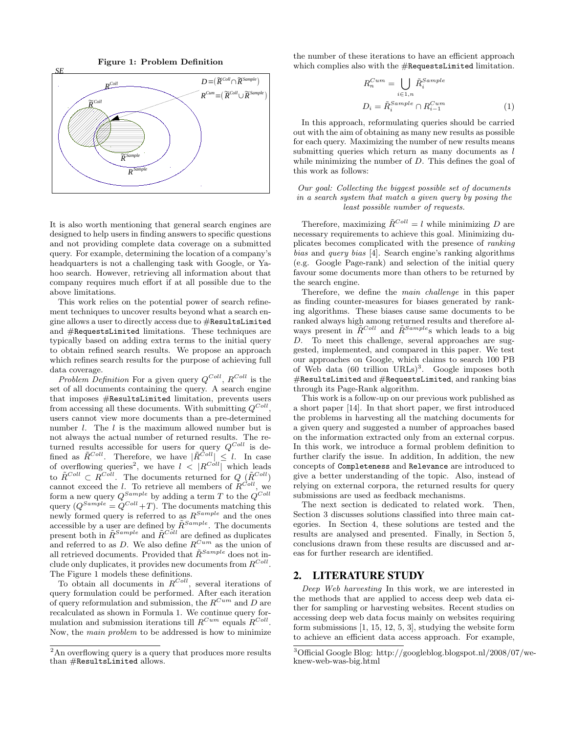Figure 1: Problem Definition



It is also worth mentioning that general search engines are designed to help users in finding answers to specific questions and not providing complete data coverage on a submitted query. For example, determining the location of a company's headquarters is not a challenging task with Google, or Yahoo search. However, retrieving all information about that company requires much effort if at all possible due to the above limitations.

This work relies on the potential power of search refinement techniques to uncover results beyond what a search engine allows a user to directly access due to  $#ResultsLimited$ and #RequestsLimited limitations. These techniques are typically based on adding extra terms to the initial query to obtain refined search results. We propose an approach which refines search results for the purpose of achieving full data coverage.

Problem Definition For a given query  $Q^{Coll}$ ,  $R^{Coll}$  is the set of all documents containing the query. A search engine that imposes #ResultsLimited limitation, prevents users from accessing all these documents. With submitting  $Q^{Coll}$ , users cannot view more documents than a pre-determined number *l*. The *l* is the maximum allowed number but is not always the actual number of returned results. The returned results accessible for users for query  $Q^{Coll}$  is defined as  $\tilde{R}^{Coll}$ . Therefore, we have  $|\tilde{R}^{Coll}| \leq l$ . In case of overflowing queries<sup>2</sup>, we have  $l \leq |R^{Coll}|$  which leads to  $\tilde{R}^{Coll} \subset R^{Coll}$ . The documents returned for  $Q \; (\tilde{R}^{Coll})$ cannot exceed the l. To retrieve all members of  $R^{Coll}$ , we form a new query  $Q^{Sample}$  by adding a term T to the  $Q^{Coll}$ query  $(Q^{Sample} = Q^{Coll} + T)$ . The documents matching this newly formed query is referred to as  $R^{Sample}$  and the ones accessible by a user are defined by  $\tilde{R}^{Sample}$ . The documents present both in  $\tilde{R}^{Sample}$  and  $\tilde{R}^{C\delta ll}$  are defined as duplicates and referred to as  $D$ . We also define  $R^{Cum}$  as the union of all retrieved documents. Provided that  $\tilde{R}^{Sample}$  does not include only duplicates, it provides new documents from  $R^{Coll}$ . The Figure 1 models these definitions.

To obtain all documents in  $R^{Coll}$ , several iterations of query formulation could be performed. After each iteration of query reformulation and submission, the  $R^{Cum}$  and D are recalculated as shown in Formula 1. We continue query formulation and submission iterations till  $R^{Cum}$  equals  $R^{Coll}$ . Now, the main problem to be addressed is how to minimize the number of these iterations to have an efficient approach which complies also with the #RequestsLimited limitation.

$$
R_n^{Cum} = \bigcup_{i \in 1,n} \tilde{R}_i^{Sample}
$$

$$
D_i = \tilde{R}_i^{Sample} \cap R_{i-1}^{Cum}
$$
 (1)

In this approach, reformulating queries should be carried out with the aim of obtaining as many new results as possible for each query. Maximizing the number of new results means submitting queries which return as many documents as  $l$ while minimizing the number of D. This defines the goal of this work as follows:

#### Our goal: Collecting the biggest possible set of documents in a search system that match a given query by posing the least possible number of requests.

Therefore, maximizing  $\tilde{R}^{Coll} = l$  while minimizing D are necessary requirements to achieve this goal. Minimizing duplicates becomes complicated with the presence of ranking bias and query bias [4]. Search engine's ranking algorithms (e.g. Google Page-rank) and selection of the initial query favour some documents more than others to be returned by the search engine.

Therefore, we define the main challenge in this paper as finding counter-measures for biases generated by ranking algorithms. These biases cause same documents to be ranked always high among returned results and therefore always present in  $\tilde{R}^{Coll}$  and  $\tilde{R}^{Sample}$ s which leads to a big D. To meet this challenge, several approaches are suggested, implemented, and compared in this paper. We test our approaches on Google, which claims to search 100 PB of Web data  $(60 \text{ trillion URLs})^3$ . Google imposes both #ResultsLimited and #RequestsLimited, and ranking bias through its Page-Rank algorithm.

This work is a follow-up on our previous work published as a short paper [14]. In that short paper, we first introduced the problems in harvesting all the matching documents for a given query and suggested a number of approaches based on the information extracted only from an external corpus. In this work, we introduce a formal problem definition to further clarify the issue. In addition, In addition, the new concepts of Completeness and Relevance are introduced to give a better understanding of the topic. Also, instead of relying on external corpora, the returned results for query submissions are used as feedback mechanisms.

The next section is dedicated to related work. Then, Section 3 discusses solutions classified into three main categories. In Section 4, these solutions are tested and the results are analysed and presented. Finally, in Section 5, conclusions drawn from these results are discussed and areas for further research are identified.

## 2. LITERATURE STUDY

Deep Web harvesting In this work, we are interested in the methods that are applied to access deep web data either for sampling or harvesting websites. Recent studies on accessing deep web data focus mainly on websites requiring form submissions [1, 15, 12, 5, 3], studying the website form to achieve an efficient data access approach. For example,

<sup>&</sup>lt;sup>2</sup>An overflowing query is a query that produces more results than #ResultsLimited allows.

<sup>3</sup>Official Google Blog: http://googleblog.blogspot.nl/2008/07/weknew-web-was-big.html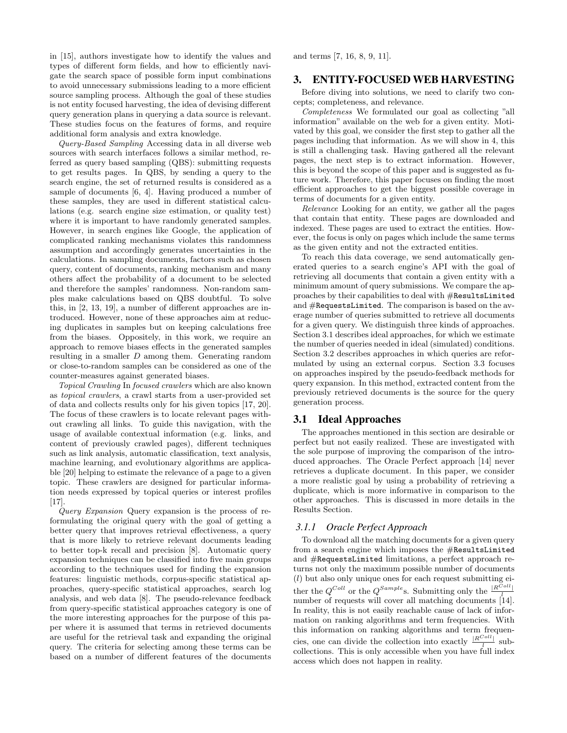in [15], authors investigate how to identify the values and types of different form fields, and how to efficiently navigate the search space of possible form input combinations to avoid unnecessary submissions leading to a more efficient source sampling process. Although the goal of these studies is not entity focused harvesting, the idea of devising different query generation plans in querying a data source is relevant. These studies focus on the features of forms, and require additional form analysis and extra knowledge.

Query-Based Sampling Accessing data in all diverse web sources with search interfaces follows a similar method, referred as query based sampling (QBS): submitting requests to get results pages. In QBS, by sending a query to the search engine, the set of returned results is considered as a sample of documents [6, 4]. Having produced a number of these samples, they are used in different statistical calculations (e.g. search engine size estimation, or quality test) where it is important to have randomly generated samples. However, in search engines like Google, the application of complicated ranking mechanisms violates this randomness assumption and accordingly generates uncertainties in the calculations. In sampling documents, factors such as chosen query, content of documents, ranking mechanism and many others affect the probability of a document to be selected and therefore the samples' randomness. Non-random samples make calculations based on QBS doubtful. To solve this, in [2, 13, 19], a number of different approaches are introduced. However, none of these approaches aim at reducing duplicates in samples but on keeping calculations free from the biases. Oppositely, in this work, we require an approach to remove biases effects in the generated samples resulting in a smaller D among them. Generating random or close-to-random samples can be considered as one of the counter-measures against generated biases.

Topical Crawling In focused crawlers which are also known as topical crawlers, a crawl starts from a user-provided set of data and collects results only for his given topics [17, 20]. The focus of these crawlers is to locate relevant pages without crawling all links. To guide this navigation, with the usage of available contextual information (e.g. links, and content of previously crawled pages), different techniques such as link analysis, automatic classification, text analysis, machine learning, and evolutionary algorithms are applicable [20] helping to estimate the relevance of a page to a given topic. These crawlers are designed for particular information needs expressed by topical queries or interest profiles [17].

Query Expansion Query expansion is the process of reformulating the original query with the goal of getting a better query that improves retrieval effectiveness, a query that is more likely to retrieve relevant documents leading to better top-k recall and precision [8]. Automatic query expansion techniques can be classified into five main groups according to the techniques used for finding the expansion features: linguistic methods, corpus-specific statistical approaches, query-specific statistical approaches, search log analysis, and web data [8]. The pseudo-relevance feedback from query-specific statistical approaches category is one of the more interesting approaches for the purpose of this paper where it is assumed that terms in retrieved documents are useful for the retrieval task and expanding the original query. The criteria for selecting among these terms can be based on a number of different features of the documents

and terms [7, 16, 8, 9, 11].

### 3. ENTITY-FOCUSED WEB HARVESTING

Before diving into solutions, we need to clarify two concepts; completeness, and relevance.

Completeness We formulated our goal as collecting "all information" available on the web for a given entity. Motivated by this goal, we consider the first step to gather all the pages including that information. As we will show in 4, this is still a challenging task. Having gathered all the relevant pages, the next step is to extract information. However, this is beyond the scope of this paper and is suggested as future work. Therefore, this paper focuses on finding the most efficient approaches to get the biggest possible coverage in terms of documents for a given entity.

Relevance Looking for an entity, we gather all the pages that contain that entity. These pages are downloaded and indexed. These pages are used to extract the entities. However, the focus is only on pages which include the same terms as the given entity and not the extracted entities.

To reach this data coverage, we send automatically generated queries to a search engine's API with the goal of retrieving all documents that contain a given entity with a minimum amount of query submissions. We compare the approaches by their capabilities to deal with #ResultsLimited and #RequestsLimited. The comparison is based on the average number of queries submitted to retrieve all documents for a given query. We distinguish three kinds of approaches. Section 3.1 describes ideal approaches, for which we estimate the number of queries needed in ideal (simulated) conditions. Section 3.2 describes approaches in which queries are reformulated by using an external corpus. Section 3.3 focuses on approaches inspired by the pseudo-feedback methods for query expansion. In this method, extracted content from the previously retrieved documents is the source for the query generation process.

## 3.1 Ideal Approaches

The approaches mentioned in this section are desirable or perfect but not easily realized. These are investigated with the sole purpose of improving the comparison of the introduced approaches. The Oracle Perfect approach [14] never retrieves a duplicate document. In this paper, we consider a more realistic goal by using a probability of retrieving a duplicate, which is more informative in comparison to the other approaches. This is discussed in more details in the Results Section.

#### *3.1.1 Oracle Perfect Approach*

To download all the matching documents for a given query from a search engine which imposes the #ResultsLimited and #RequestsLimited limitations, a perfect approach returns not only the maximum possible number of documents  $(l)$  but also only unique ones for each request submitting either the  $Q^{Coll}$  or the  $Q^{Sample}$ s. Submitting only the  $\frac{|R^{Coll}|}{l}$ number of requests will cover all matching documents [14]. In reality, this is not easily reachable cause of lack of information on ranking algorithms and term frequencies. With this information on ranking algorithms and term frequencies, one can divide the collection into exactly  $\frac{|R^{Coll}|}{l}$  subcollections. This is only accessible when you have full index access which does not happen in reality.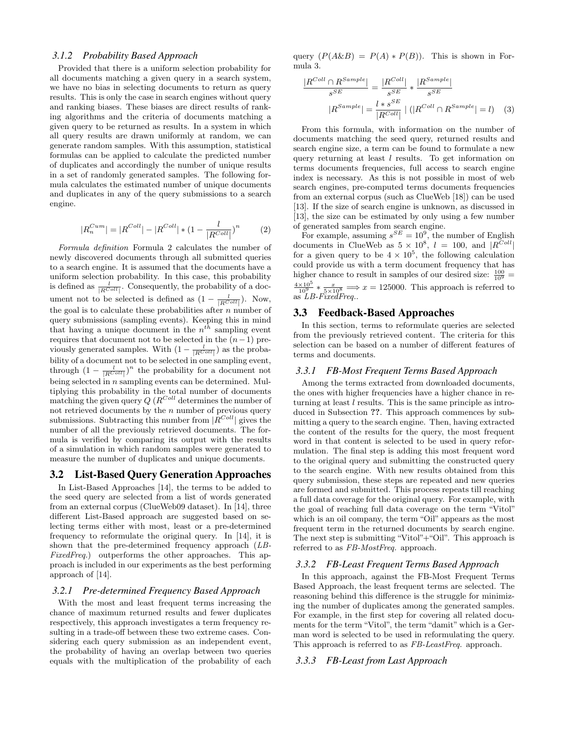#### *3.1.2 Probability Based Approach*

Provided that there is a uniform selection probability for all documents matching a given query in a search system, we have no bias in selecting documents to return as query results. This is only the case in search engines without query and ranking biases. These biases are direct results of ranking algorithms and the criteria of documents matching a given query to be returned as results. In a system in which all query results are drawn uniformly at random, we can generate random samples. With this assumption, statistical formulas can be applied to calculate the predicted number of duplicates and accordingly the number of unique results in a set of randomly generated samples. The following formula calculates the estimated number of unique documents and duplicates in any of the query submissions to a search engine.

$$
|R_n^{Cum}| = |R^{Coll}| - |R^{Coll}| * (1 - \frac{l}{|R^{Coll}|})^n \tag{2}
$$

Formula definition Formula 2 calculates the number of newly discovered documents through all submitted queries to a search engine. It is assumed that the documents have a uniform selection probability. In this case, this probability is defined as  $\frac{l}{|R^{Coll}|}$ . Consequently, the probability of a document not to be selected is defined as  $(1 - \frac{l}{|R^{Coll}|})$ . Now, the goal is to calculate these probabilities after  $n$  number of query submissions (sampling events). Keeping this in mind that having a unique document in the  $n^{th}$  sampling event requires that document not to be selected in the  $(n-1)$  previously generated samples. With  $(1 - \frac{l}{|R^{Coll}|})$  as the probability of a document not to be selected in one sampling event, through  $(1 - \frac{l}{|R^{Coll}|})^n$  the probability for a document not being selected in  $n$  sampling events can be determined. Multiplying this probability in the total number of documents matching the given query  $Q(R^{Coll})$  determines the number of not retrieved documents by the  $n$  number of previous query submissions. Subtracting this number from  $|R^{Coll}|$  gives the number of all the previously retrieved documents. The formula is verified by comparing its output with the results of a simulation in which random samples were generated to measure the number of duplicates and unique documents.

#### 3.2 List-Based Query Generation Approaches

In List-Based Approaches [14], the terms to be added to the seed query are selected from a list of words generated from an external corpus (ClueWeb09 dataset). In [14], three different List-Based approach are suggested based on selecting terms either with most, least or a pre-determined frequency to reformulate the original query. In [14], it is shown that the pre-determined frequency approach (LB-FixedFreq.) outperforms the other approaches. This approach is included in our experiments as the best performing approach of [14].

#### *3.2.1 Pre-determined Frequency Based Approach*

With the most and least frequent terms increasing the chance of maximum returned results and fewer duplicates respectively, this approach investigates a term frequency resulting in a trade-off between these two extreme cases. Considering each query submission as an independent event, the probability of having an overlap between two queries equals with the multiplication of the probability of each query  $(P(A\&B) = P(A) * P(B))$ . This is shown in Formula 3.

$$
\frac{|R^{Coll} \cap R^{Sample}|}{s^{SE}} = \frac{|R^{Coll}|}{s^{SE}} * \frac{|R^{Sample}|}{s^{SE}}
$$

$$
|R^{Sample}| = \frac{l * s^{SE}}{|R^{Coll}|} | (|R^{Coll} \cap R^{Sample}| = l) \quad (3)
$$

From this formula, with information on the number of documents matching the seed query, returned results and search engine size, a term can be found to formulate a new query returning at least  $l$  results. To get information on terms documents frequencies, full access to search engine index is necessary. As this is not possible in most of web search engines, pre-computed terms documents frequencies from an external corpus (such as ClueWeb [18]) can be used [13]. If the size of search engine is unknown, as discussed in [13], the size can be estimated by only using a few number of generated samples from search engine.

For example, assuming  $s^{SE} = 10^9$ , the number of English documents in ClueWeb as  $5 \times 10^8$ ,  $l = 100$ , and  $|R^{Coll}|$ for a given query to be  $4 \times 10^5$ , the following calculation could provide us with a term document frequency that has higher chance to result in samples of our desired size:  $\frac{100}{109}$  =  $\frac{4\times10^5}{10^9}$  \*  $\frac{x}{5\times10^8}$  ⇒  $x = 125000$ . This approach is referred to as *LB-FixedFreq.*.

#### 3.3 Feedback-Based Approaches

In this section, terms to reformulate queries are selected from the previously retrieved content. The criteria for this selection can be based on a number of different features of terms and documents.

#### *3.3.1 FB-Most Frequent Terms Based Approach*

Among the terms extracted from downloaded documents, the ones with higher frequencies have a higher chance in returning at least  $l$  results. This is the same principle as introduced in Subsection ??. This approach commences by submitting a query to the search engine. Then, having extracted the content of the results for the query, the most frequent word in that content is selected to be used in query reformulation. The final step is adding this most frequent word to the original query and submitting the constructed query to the search engine. With new results obtained from this query submission, these steps are repeated and new queries are formed and submitted. This process repeats till reaching a full data coverage for the original query. For example, with the goal of reaching full data coverage on the term "Vitol" which is an oil company, the term "Oil" appears as the most frequent term in the returned documents by search engine. The next step is submitting "Vitol"+"Oil". This approach is referred to as FB-MostFreq. approach.

#### *3.3.2 FB-Least Frequent Terms Based Approach*

In this approach, against the FB-Most Frequent Terms Based Approach, the least frequent terms are selected. The reasoning behind this difference is the struggle for minimizing the number of duplicates among the generated samples. For example, in the first step for covering all related documents for the term "Vitol", the term "damit" which is a German word is selected to be used in reformulating the query. This approach is referred to as FB-LeastFreq. approach.

#### *3.3.3 FB-Least from Last Approach*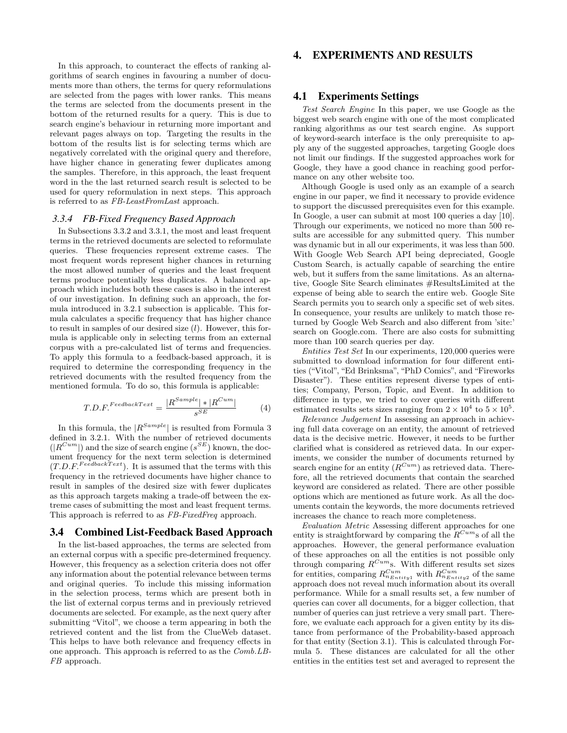In this approach, to counteract the effects of ranking algorithms of search engines in favouring a number of documents more than others, the terms for query reformulations are selected from the pages with lower ranks. This means the terms are selected from the documents present in the bottom of the returned results for a query. This is due to search engine's behaviour in returning more important and relevant pages always on top. Targeting the results in the bottom of the results list is for selecting terms which are negatively correlated with the original query and therefore, have higher chance in generating fewer duplicates among the samples. Therefore, in this approach, the least frequent word in the the last returned search result is selected to be used for query reformulation in next steps. This approach is referred to as FB-LeastFromLast approach.

#### *3.3.4 FB-Fixed Frequency Based Approach*

In Subsections 3.3.2 and 3.3.1, the most and least frequent terms in the retrieved documents are selected to reformulate queries. These frequencies represent extreme cases. The most frequent words represent higher chances in returning the most allowed number of queries and the least frequent terms produce potentially less duplicates. A balanced approach which includes both these cases is also in the interest of our investigation. In defining such an approach, the formula introduced in 3.2.1 subsection is applicable. This formula calculates a specific frequency that has higher chance to result in samples of our desired size  $(l)$ . However, this formula is applicable only in selecting terms from an external corpus with a pre-calculated list of terms and frequencies. To apply this formula to a feedback-based approach, it is required to determine the corresponding frequency in the retrieved documents with the resulted frequency from the mentioned formula. To do so, this formula is applicable:

$$
T.D.F.FeedbackText = \frac{|R^{Sample}| * |R^{Cum}|}{s^{SE}}
$$
 (4)

In this formula, the  $|R^{Sample}|$  is resulted from Formula 3 defined in 3.2.1. With the number of retrieved documents  $(|R^{Cum}|)$  and the size of search engine  $(s^{SE})$  known, the document frequency for the next term selection is determined  $(T.D.F<sup>FeedbackText</sup>)$ . It is assumed that the terms with this frequency in the retrieved documents have higher chance to result in samples of the desired size with fewer duplicates as this approach targets making a trade-off between the extreme cases of submitting the most and least frequent terms. This approach is referred to as FB-FixedFreq approach.

#### 3.4 Combined List-Feedback Based Approach

In the list-based approaches, the terms are selected from an external corpus with a specific pre-determined frequency. However, this frequency as a selection criteria does not offer any information about the potential relevance between terms and original queries. To include this missing information in the selection process, terms which are present both in the list of external corpus terms and in previously retrieved documents are selected. For example, as the next query after submitting "Vitol", we choose a term appearing in both the retrieved content and the list from the ClueWeb dataset. This helps to have both relevance and frequency effects in one approach. This approach is referred to as the Comb.LB-FB approach.

## 4. EXPERIMENTS AND RESULTS

## 4.1 Experiments Settings

Test Search Engine In this paper, we use Google as the biggest web search engine with one of the most complicated ranking algorithms as our test search engine. As support of keyword-search interface is the only prerequisite to apply any of the suggested approaches, targeting Google does not limit our findings. If the suggested approaches work for Google, they have a good chance in reaching good performance on any other website too.

Although Google is used only as an example of a search engine in our paper, we find it necessary to provide evidence to support the discussed prerequisites even for this example. In Google, a user can submit at most 100 queries a day [10]. Through our experiments, we noticed no more than 500 results are accessible for any submitted query. This number was dynamic but in all our experiments, it was less than 500. With Google Web Search API being depreciated, Google Custom Search, is actually capable of searching the entire web, but it suffers from the same limitations. As an alternative, Google Site Search eliminates #ResultsLimited at the expense of being able to search the entire web. Google Site Search permits you to search only a specific set of web sites. In consequence, your results are unlikely to match those returned by Google Web Search and also different from 'site:' search on Google.com. There are also costs for submitting more than 100 search queries per day.

Entities Test Set In our experiments, 120,000 queries were submitted to download information for four different entities ("Vitol", "Ed Brinksma", "PhD Comics", and "Fireworks Disaster"). These entities represent diverse types of entities; Company, Person, Topic, and Event. In addition to difference in type, we tried to cover queries with different estimated results sets sizes ranging from  $2 \times 10^4$  to  $5 \times 10^5$ .

Relevance Judgement In assessing an approach in achieving full data coverage on an entity, the amount of retrieved data is the decisive metric. However, it needs to be further clarified what is considered as retrieved data. In our experiments, we consider the number of documents returned by search engine for an entity  $(R^{Cum})$  as retrieved data. Therefore, all the retrieved documents that contain the searched keyword are considered as related. There are other possible options which are mentioned as future work. As all the documents contain the keywords, the more documents retrieved increases the chance to reach more completeness.

Evaluation Metric Assessing different approaches for one entity is straightforward by comparing the  $R^{Cum}$ s of all the approaches. However, the general performance evaluation of these approaches on all the entities is not possible only through comparing  $R^{Cum}$ s. With different results set sizes for entities, comparing  $R_{n_{Entity1}}^{Cum}$  with  $R_{n_{Entity2}}^{Cum}$  of the same approach does not reveal much information about its overall performance. While for a small results set, a few number of queries can cover all documents, for a bigger collection, that number of queries can just retrieve a very small part. Therefore, we evaluate each approach for a given entity by its distance from performance of the Probability-based approach for that entity (Section 3.1). This is calculated through Formula 5. These distances are calculated for all the other entities in the entities test set and averaged to represent the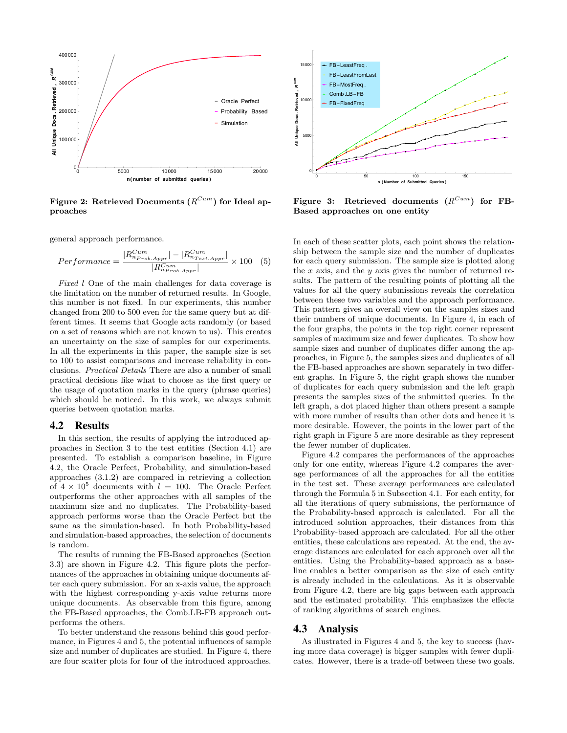

Figure 2: Retrieved Documents  $(R^{Cum})$  for Ideal approaches

general approach performance.

$$
Performance = \frac{|R_{nProb.Apr}^{Cum}| - |R_{nTest. Appr}^{Cum}|}{|R_{nProb. Appr}^{Cum}|} \times 100 \quad (5)
$$

Fixed l One of the main challenges for data coverage is the limitation on the number of returned results. In Google, this number is not fixed. In our experiments, this number changed from 200 to 500 even for the same query but at different times. It seems that Google acts randomly (or based on a set of reasons which are not known to us). This creates an uncertainty on the size of samples for our experiments. In all the experiments in this paper, the sample size is set to 100 to assist comparisons and increase reliability in conclusions. Practical Details There are also a number of small practical decisions like what to choose as the first query or the usage of quotation marks in the query (phrase queries) which should be noticed. In this work, we always submit queries between quotation marks.

#### 4.2 Results

In this section, the results of applying the introduced approaches in Section 3 to the test entities (Section 4.1) are presented. To establish a comparison baseline, in Figure 4.2, the Oracle Perfect, Probability, and simulation-based approaches (3.1.2) are compared in retrieving a collection of  $4 \times 10^5$  documents with  $l = 100$ . The Oracle Perfect outperforms the other approaches with all samples of the maximum size and no duplicates. The Probability-based approach performs worse than the Oracle Perfect but the same as the simulation-based. In both Probability-based and simulation-based approaches, the selection of documents is random.

The results of running the FB-Based approaches (Section 3.3) are shown in Figure 4.2. This figure plots the performances of the approaches in obtaining unique documents after each query submission. For an x-axis value, the approach with the highest corresponding y-axis value returns more unique documents. As observable from this figure, among the FB-Based approaches, the Comb.LB-FB approach outperforms the others.

To better understand the reasons behind this good performance, in Figures 4 and 5, the potential influences of sample size and number of duplicates are studied. In Figure 4, there are four scatter plots for four of the introduced approaches.



Figure 3: Retrieved documents  $(R^{Cum})$  for FB-Based approaches on one entity

In each of these scatter plots, each point shows the relationship between the sample size and the number of duplicates for each query submission. The sample size is plotted along the  $x$  axis, and the  $y$  axis gives the number of returned results. The pattern of the resulting points of plotting all the values for all the query submissions reveals the correlation between these two variables and the approach performance. This pattern gives an overall view on the samples sizes and their numbers of unique documents. In Figure 4, in each of the four graphs, the points in the top right corner represent samples of maximum size and fewer duplicates. To show how sample sizes and number of duplicates differ among the approaches, in Figure 5, the samples sizes and duplicates of all the FB-based approaches are shown separately in two different graphs. In Figure 5, the right graph shows the number of duplicates for each query submission and the left graph presents the samples sizes of the submitted queries. In the left graph, a dot placed higher than others present a sample with more number of results than other dots and hence it is more desirable. However, the points in the lower part of the right graph in Figure 5 are more desirable as they represent the fewer number of duplicates.

Figure 4.2 compares the performances of the approaches only for one entity, whereas Figure 4.2 compares the average performances of all the approaches for all the entities in the test set. These average performances are calculated through the Formula 5 in Subsection 4.1. For each entity, for all the iterations of query submissions, the performance of the Probability-based approach is calculated. For all the introduced solution approaches, their distances from this Probability-based approach are calculated. For all the other entities, these calculations are repeated. At the end, the average distances are calculated for each approach over all the entities. Using the Probability-based approach as a baseline enables a better comparison as the size of each entity is already included in the calculations. As it is observable from Figure 4.2, there are big gaps between each approach and the estimated probability. This emphasizes the effects of ranking algorithms of search engines.

## 4.3 Analysis

As illustrated in Figures 4 and 5, the key to success (having more data coverage) is bigger samples with fewer duplicates. However, there is a trade-off between these two goals.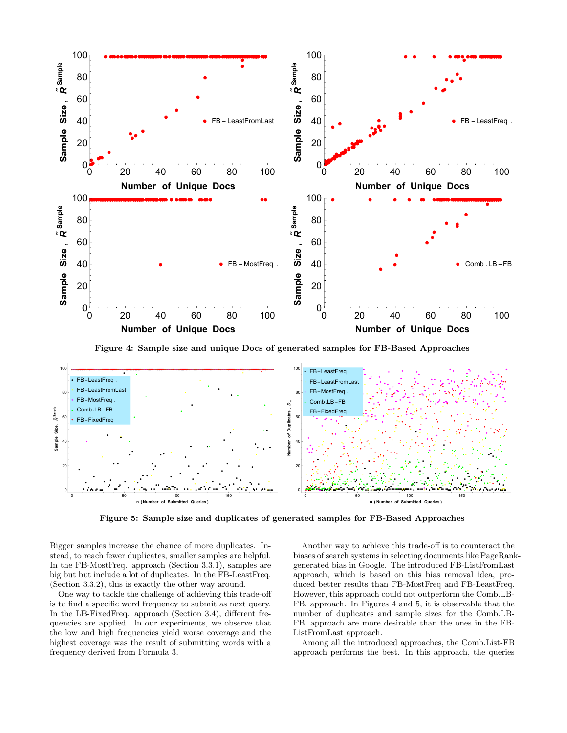

Figure 4: Sample size and unique Docs of generated samples for FB-Based Approaches



Figure 5: Sample size and duplicates of generated samples for FB-Based Approaches

Bigger samples increase the chance of more duplicates. Instead, to reach fewer duplicates, smaller samples are helpful. In the FB-MostFreq. approach (Section 3.3.1), samples are big but but include a lot of duplicates. In the FB-LeastFreq. (Section 3.3.2), this is exactly the other way around.

One way to tackle the challenge of achieving this trade-off is to find a specific word frequency to submit as next query. In the LB-FixedFreq. approach (Section 3.4), different frequencies are applied. In our experiments, we observe that the low and high frequencies yield worse coverage and the highest coverage was the result of submitting words with a frequency derived from Formula 3.

Another way to achieve this trade-off is to counteract the biases of search systems in selecting documents like PageRankgenerated bias in Google. The introduced FB-ListFromLast approach, which is based on this bias removal idea, produced better results than FB-MostFreq and FB-LeastFreq. However, this approach could not outperform the Comb.LB-FB. approach. In Figures 4 and 5, it is observable that the number of duplicates and sample sizes for the Comb.LB-FB. approach are more desirable than the ones in the FB-ListFromLast approach.

Among all the introduced approaches, the Comb.List-FB approach performs the best. In this approach, the queries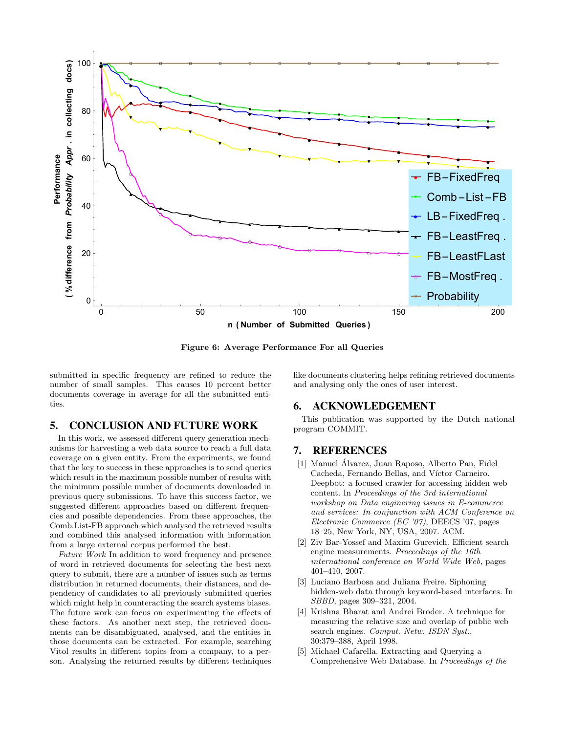

Figure 6: Average Performance For all Queries

submitted in specific frequency are refined to reduce the number of small samples. This causes 10 percent better documents coverage in average for all the submitted entities.

## 5. CONCLUSION AND FUTURE WORK

In this work, we assessed different query generation mechanisms for harvesting a web data source to reach a full data coverage on a given entity. From the experiments, we found that the key to success in these approaches is to send queries which result in the maximum possible number of results with the minimum possible number of documents downloaded in previous query submissions. To have this success factor, we suggested different approaches based on different frequencies and possible dependencies. From these approaches, the Comb.List-FB approach which analysed the retrieved results and combined this analysed information with information from a large external corpus performed the best.

Future Work In addition to word frequency and presence of word in retrieved documents for selecting the best next query to submit, there are a number of issues such as terms distribution in returned documents, their distances, and dependency of candidates to all previously submitted queries which might help in counteracting the search systems biases. The future work can focus on experimenting the effects of these factors. As another next step, the retrieved documents can be disambiguated, analysed, and the entities in those documents can be extracted. For example, searching Vitol results in different topics from a company, to a person. Analysing the returned results by different techniques

like documents clustering helps refining retrieved documents and analysing only the ones of user interest.

## 6. ACKNOWLEDGEMENT

This publication was supported by the Dutch national program COMMIT.

# 7. REFERENCES

- [1] Manuel Alvarez, Juan Raposo, Alberto Pan, Fidel ´ Cacheda, Fernando Bellas, and Víctor Carneiro. Deepbot: a focused crawler for accessing hidden web content. In Proceedings of the 3rd international workshop on Data enginering issues in E-commerce and services: In conjunction with ACM Conference on Electronic Commerce (EC '07), DEECS '07, pages 18–25, New York, NY, USA, 2007. ACM.
- [2] Ziv Bar-Yossef and Maxim Gurevich. Efficient search engine measurements. Proceedings of the 16th international conference on World Wide Web, pages 401–410, 2007.
- [3] Luciano Barbosa and Juliana Freire. Siphoning hidden-web data through keyword-based interfaces. In SBBD, pages 309–321, 2004.
- [4] Krishna Bharat and Andrei Broder. A technique for measuring the relative size and overlap of public web search engines. Comput. Netw. ISDN Syst., 30:379–388, April 1998.
- [5] Michael Cafarella. Extracting and Querying a Comprehensive Web Database. In Proceedings of the